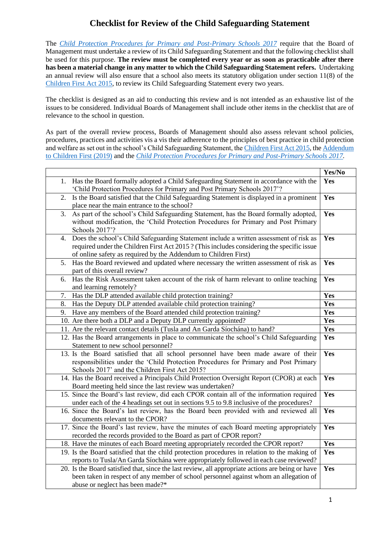## **Checklist for Review of the Child Safeguarding Statement**

The *Child Protection Procedures for Primary and Post-Primary Schools 2017* require that the Board of Management must undertake a review of its Child Safeguarding Statement and that the following checklist shall be used for this purpose. **The review must be completed every year or as soon as practicable after there has been a material change in any matter to which the Child Safeguarding Statement refers.** Undertaking an annual review will also ensure that a school also meets its statutory obligation under section 11(8) of the Children First Act 2015, to review its Child Safeguarding Statement every two years.

The checklist is designed as an aid to conducting this review and is not intended as an exhaustive list of the issues to be considered. Individual Boards of Management shall include other items in the checklist that are of relevance to the school in question.

As part of the overall review process, Boards of Management should also assess relevant school policies, procedures, practices and activities vis a vis their adherence to the principles of best practice in child protection and welfare as set out in the school's Child Safeguarding Statement, the Children First Act 2015, the Addendum to Children First (2019) and the *Child Protection Procedures for Primary and Post-Primary Schools 2017.*

|                                                                                                   | Yes/No |
|---------------------------------------------------------------------------------------------------|--------|
| Has the Board formally adopted a Child Safeguarding Statement in accordance with the<br>1.        | Yes    |
| 'Child Protection Procedures for Primary and Post Primary Schools 2017'?                          |        |
| Is the Board satisfied that the Child Safeguarding Statement is displayed in a prominent<br>2.    | Yes    |
| place near the main entrance to the school?                                                       |        |
| As part of the school's Child Safeguarding Statement, has the Board formally adopted,<br>3.       | Yes    |
| without modification, the 'Child Protection Procedures for Primary and Post Primary               |        |
| Schools 2017'?                                                                                    |        |
| Does the school's Child Safeguarding Statement include a written assessment of risk as<br>4.      | Yes    |
| required under the Children First Act 2015 ? (This includes considering the specific issue        |        |
| of online safety as required by the Addendum to Children First)                                   |        |
| 5.<br>Has the Board reviewed and updated where necessary the written assessment of risk as        | Yes    |
| part of this overall review?                                                                      |        |
| Has the Risk Assessment taken account of the risk of harm relevant to online teaching<br>6.       | Yes    |
| and learning remotely?                                                                            |        |
| Has the DLP attended available child protection training?<br>7.                                   | Yes    |
| Has the Deputy DLP attended available child protection training?<br>8.                            | Yes    |
| Have any members of the Board attended child protection training?<br>9.                           | Yes    |
| 10. Are there both a DLP and a Deputy DLP currently appointed?                                    | Yes    |
| 11. Are the relevant contact details (Tusla and An Garda Síochána) to hand?                       | Yes    |
| 12. Has the Board arrangements in place to communicate the school's Child Safeguarding            | Yes    |
| Statement to new school personnel?                                                                |        |
| 13. Is the Board satisfied that all school personnel have been made aware of their                | Yes    |
| responsibilities under the 'Child Protection Procedures for Primary and Post Primary              |        |
| Schools 2017' and the Children First Act 2015?                                                    |        |
| 14. Has the Board received a Principals Child Protection Oversight Report (CPOR) at each          | Yes    |
| Board meeting held since the last review was undertaken?                                          |        |
| 15. Since the Board's last review, did each CPOR contain all of the information required          | Yes    |
| under each of the 4 headings set out in sections 9.5 to 9.8 inclusive of the procedures?          |        |
| 16. Since the Board's last review, has the Board been provided with and reviewed all              | Yes    |
| documents relevant to the CPOR?                                                                   |        |
| 17. Since the Board's last review, have the minutes of each Board meeting appropriately           | Yes    |
| recorded the records provided to the Board as part of CPOR report?                                |        |
| 18. Have the minutes of each Board meeting appropriately recorded the CPOR report?                | Yes    |
| 19. Is the Board satisfied that the child protection procedures in relation to the making of      | Yes    |
| reports to Tusla/An Garda Síochána were appropriately followed in each case reviewed?             |        |
| 20. Is the Board satisfied that, since the last review, all appropriate actions are being or have | Yes    |
| been taken in respect of any member of school personnel against whom an allegation of             |        |
| abuse or neglect has been made?*                                                                  |        |